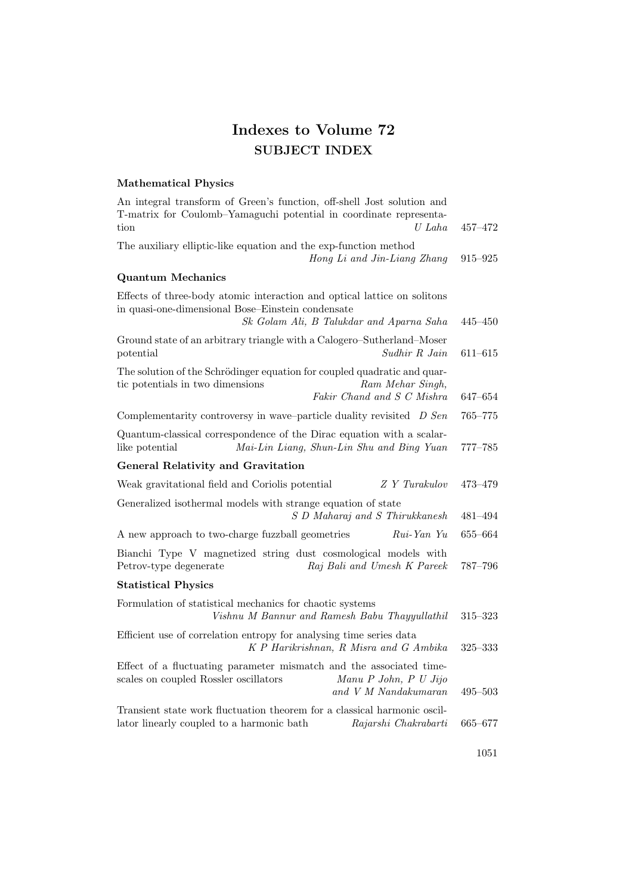## Indexes to Volume 72 SUBJECT INDEX

## Mathematical Physics

| An integral transform of Green's function, off-shell Jost solution and<br>T-matrix for Coulomb-Yamaguchi potential in coordinate representa-<br>$U$ Laha<br>tion          | $457 - 472$ |
|---------------------------------------------------------------------------------------------------------------------------------------------------------------------------|-------------|
| The auxiliary elliptic-like equation and the exp-function method<br>Hong Li and Jin-Liang Zhang                                                                           | 915–925     |
| <b>Quantum Mechanics</b>                                                                                                                                                  |             |
| Effects of three-body atomic interaction and optical lattice on solitons<br>in quasi-one-dimensional Bose-Einstein condensate<br>Sk Golam Ali, B Talukdar and Aparna Saha | $445 - 450$ |
| Ground state of an arbitrary triangle with a Calogero-Sutherland-Moser<br>Sudhir R Jain<br>potential                                                                      | $611 - 615$ |
| The solution of the Schrödinger equation for coupled quadratic and quar-<br>tic potentials in two dimensions<br>Ram Mehar Singh,<br>Fakir Chand and S C Mishra            | 647–654     |
| Complementarity controversy in wave-particle duality revisited D Sen                                                                                                      | $765 - 775$ |
| Quantum-classical correspondence of the Dirac equation with a scalar-<br>like potential<br>Mai-Lin Liang, Shun-Lin Shu and Bing Yuan                                      | 777–785     |
| <b>General Relativity and Gravitation</b>                                                                                                                                 |             |
| Z Y Turakulov<br>Weak gravitational field and Coriolis potential                                                                                                          | 473-479     |
| Generalized isothermal models with strange equation of state<br>S D Maharaj and S Thirukkanesh                                                                            | 481–494     |
| A new approach to two-charge fuzzball geometries<br>Rui-Yan Yu                                                                                                            | 655–664     |
| Bianchi Type V magnetized string dust cosmological models with<br>Petrov-type degenerate<br>Raj Bali and Umesh K Pareek                                                   | 787-796     |
| <b>Statistical Physics</b>                                                                                                                                                |             |
| Formulation of statistical mechanics for chaotic systems<br>Vishnu M Bannur and Ramesh Babu Thayyullathil                                                                 | 315-323     |
| Efficient use of correlation entropy for analysing time series data<br>K P Harikrishnan, R Misra and G Ambika                                                             | $325 - 333$ |
| Effect of a fluctuating parameter mismatch and the associated time-<br>scales on coupled Rossler oscillators<br>Manu P John, P U Jijo<br>and V M Nandakumaran             | $495 - 503$ |
| Transient state work fluctuation theorem for a classical harmonic oscil-<br>lator linearly coupled to a harmonic bath<br>Rajarshi Chakrabarti                             | 665-677     |
|                                                                                                                                                                           |             |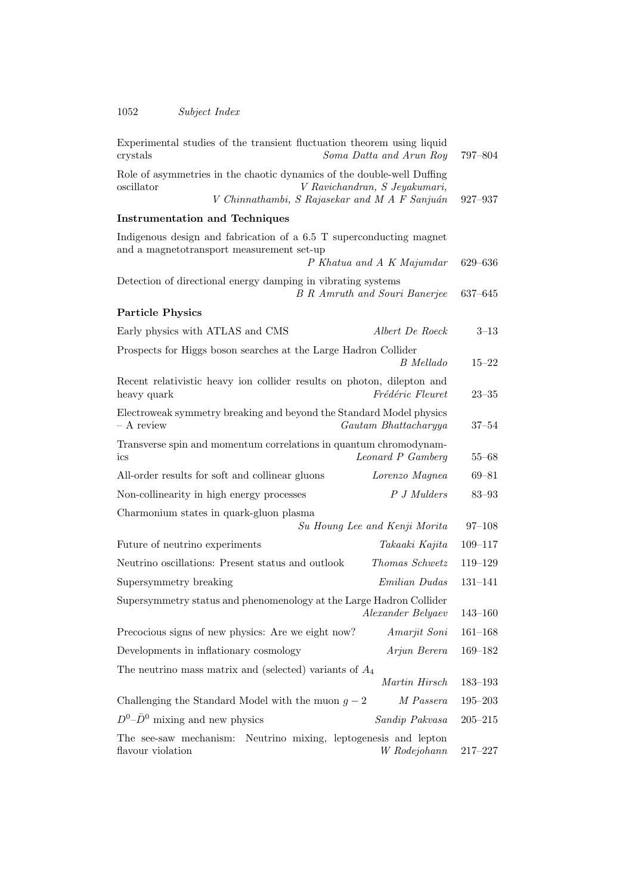| Experimental studies of the transient fluctuation theorem using liquid<br>Soma Datta and Arun Roy<br>crystals                                                          | 797–804     |
|------------------------------------------------------------------------------------------------------------------------------------------------------------------------|-------------|
| Role of asymmetries in the chaotic dynamics of the double-well Duffing<br>V Ravichandran, S Jeyakumari,<br>oscillator<br>V Chinnathambi, S Rajasekar and M A F Sanjuán | 927-937     |
| <b>Instrumentation and Techniques</b>                                                                                                                                  |             |
| Indigenous design and fabrication of a 6.5 T superconducting magnet<br>and a magnetotransport measurement set-up<br>P Khatua and A K Majumdar                          | 629-636     |
| Detection of directional energy damping in vibrating systems<br><b>B</b> R Amruth and Souri Banerjee                                                                   | $637 - 645$ |
| <b>Particle Physics</b>                                                                                                                                                |             |
| Early physics with ATLAS and CMS<br>Albert De Roeck                                                                                                                    | $3 - 13$    |
| Prospects for Higgs boson searches at the Large Hadron Collider<br>B Mellado                                                                                           | $15 - 22$   |
| Recent relativistic heavy ion collider results on photon, dilepton and<br>Frédéric Fleuret<br>heavy quark                                                              | $23 - 35$   |
| Electroweak symmetry breaking and beyond the Standard Model physics<br>- A review<br>Gautam Bhattacharyya                                                              | $37 - 54$   |
| Transverse spin and momentum correlations in quantum chromodynam-<br>Leonard P Gamberg<br>ics                                                                          | $55 - 68$   |
| All-order results for soft and collinear gluons<br>Lorenzo Magnea                                                                                                      | $69 - 81$   |
| P J Mulders<br>Non-collinearity in high energy processes                                                                                                               | $83 - 93$   |
| Charmonium states in quark-gluon plasma                                                                                                                                |             |
| Su Houng Lee and Kenji Morita                                                                                                                                          | $97 - 108$  |
| Future of neutrino experiments<br>Takaaki Kajita                                                                                                                       | $109 - 117$ |
| Neutrino oscillations: Present status and outlook<br>Thomas Schwetz                                                                                                    | $119 - 129$ |
| Emilian Dudas<br>Supersymmetry breaking                                                                                                                                | $131 - 141$ |
| Supersymmetry status and phenomenology at the Large Hadron Collider<br><i>Alexander Belyaev</i>                                                                        | $143 - 160$ |
| Precocious signs of new physics: Are we eight now?<br>Amarjit Soni                                                                                                     | $161 - 168$ |
| Developments in inflationary cosmology<br>Arjun Berera                                                                                                                 | $169 - 182$ |
| The neutrino mass matrix and (selected) variants of $A_4$                                                                                                              |             |
| Martin Hirsch                                                                                                                                                          | $183 - 193$ |
| Challenging the Standard Model with the muon $g - 2$<br>M Passera                                                                                                      | $195 - 203$ |
| $D^0$ – $\bar{D}^0$ mixing and new physics<br>Sandip Pakvasa                                                                                                           | $205 - 215$ |
| The see-saw mechanism: Neutrino mixing, leptogenesis and lepton<br>flavour violation<br>W Rodejohann                                                                   | $217 - 227$ |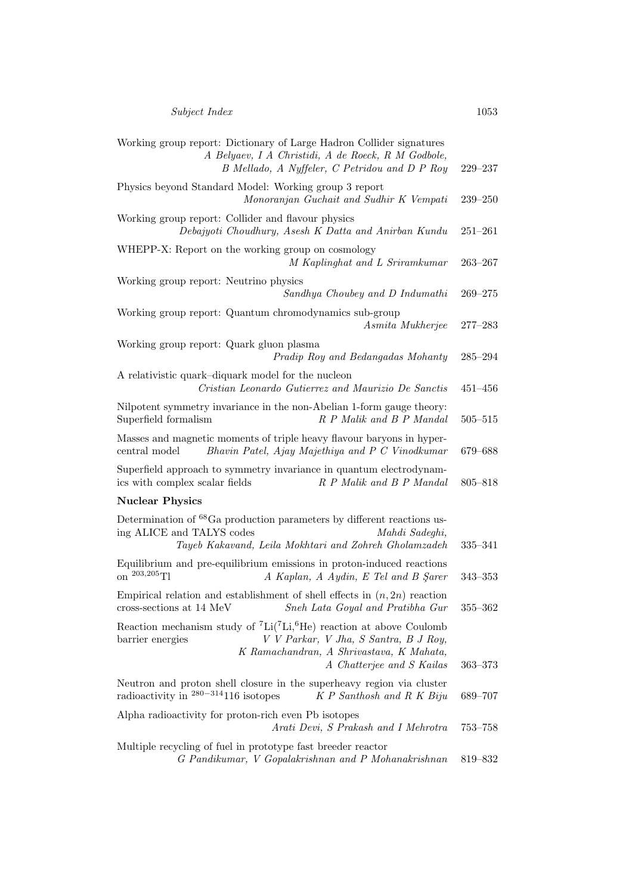| Working group report: Dictionary of Large Hadron Collider signatures<br>A Belyaev, I A Christidi, A de Roeck, R M Godbole,<br>B Mellado, A Nyffeler, C Petridou and D P Roy                                                | 229-237     |
|----------------------------------------------------------------------------------------------------------------------------------------------------------------------------------------------------------------------------|-------------|
| Physics beyond Standard Model: Working group 3 report<br>Monoranjan Guchait and Sudhir K Vempati                                                                                                                           | $239 - 250$ |
| Working group report: Collider and flavour physics<br>Debajyoti Choudhury, Asesh K Datta and Anirban Kundu                                                                                                                 | $251 - 261$ |
| WHEPP-X: Report on the working group on cosmology<br>M Kaplinghat and L Sriramkumar                                                                                                                                        | $263 - 267$ |
| Working group report: Neutrino physics<br>Sandhya Choubey and D Indumathi                                                                                                                                                  | $269 - 275$ |
| Working group report: Quantum chromodynamics sub-group<br>Asmita Mukherjee                                                                                                                                                 | $277 - 283$ |
| Working group report: Quark gluon plasma<br>Pradip Roy and Bedangadas Mohanty                                                                                                                                              | $285 - 294$ |
| A relativistic quark-diquark model for the nucleon<br>Cristian Leonardo Gutierrez and Maurizio De Sanctis                                                                                                                  | $451 - 456$ |
| Nilpotent symmetry invariance in the non-Abelian 1-form gauge theory:<br>Superfield formalism<br>R P Malik and B P Mandal                                                                                                  | $505 - 515$ |
| Masses and magnetic moments of triple heavy flavour baryons in hyper-<br>Bhavin Patel, Ajay Majethiya and P C Vinodkumar<br>central model                                                                                  | 679-688     |
| Superfield approach to symmetry invariance in quantum electrodynam-<br>R P Malik and B P Mandal<br>ics with complex scalar fields                                                                                          | $805 - 818$ |
| <b>Nuclear Physics</b>                                                                                                                                                                                                     |             |
| Determination of <sup>68</sup> Ga production parameters by different reactions us-<br>ing ALICE and TALYS codes<br>Mahdi Sadeghi,<br>Tayeb Kakavand, Leila Mokhtari and Zohreh Gholamzadeh                                 | 335-341     |
| Equilibrium and pre-equilibrium emissions in proton-induced reactions<br>on $^{203,205}$ Tl<br>A Kaplan, A Aydin, E Tel and B Şarer                                                                                        | $343 - 353$ |
| Empirical relation and establishment of shell effects in $(n, 2n)$ reaction<br>cross-sections at 14 MeV<br>Sneh Lata Goyal and Pratibha Gur                                                                                | $355 - 362$ |
| Reaction mechanism study of ${}^{7}Li({}^{7}Li, {}^{6}He)$ reaction at above Coulomb<br>V V Parkar, V Jha, S Santra, B J Roy,<br>barrier energies<br>K Ramachandran, A Shrivastava, K Mahata,<br>A Chatterjee and S Kailas | $363 - 373$ |
| Neutron and proton shell closure in the superheavy region via cluster<br>radioactivity in $280-314116$ isotopes<br>K P Santhosh and R K Biju                                                                               | 689-707     |
| Alpha radioactivity for proton-rich even Pb isotopes<br>Arati Devi, S Prakash and I Mehrotra                                                                                                                               | $753 - 758$ |
| Multiple recycling of fuel in prototype fast breeder reactor<br>G Pandikumar, V Gopalakrishnan and P Mohanakrishnan                                                                                                        | 819-832     |
|                                                                                                                                                                                                                            |             |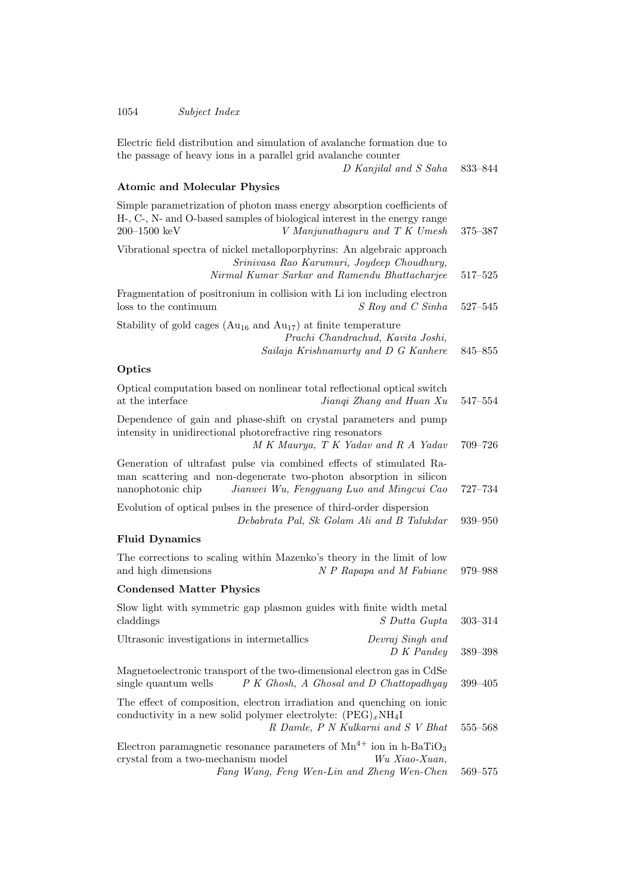1054 Subject Index

| Electric field distribution and simulation of avalanche formation due to<br>the passage of heavy ions in a parallel grid avalanche counter<br>D Kanjilal and S Saha                                                |             |
|--------------------------------------------------------------------------------------------------------------------------------------------------------------------------------------------------------------------|-------------|
| <b>Atomic and Molecular Physics</b>                                                                                                                                                                                |             |
| Simple parametrization of photon mass energy absorption coefficients of<br>H-, C-, N- and O-based samples of biological interest in the energy range<br>$200 - 1500 \text{ keV}$<br>V Manjunathaguru and T K Umesh | 375–387     |
| Vibrational spectra of nickel metalloporphyrins: An algebraic approach<br>Srinivasa Rao Karumuri, Joydeep Choudhury,<br>Nirmal Kumar Sarkar and Ramendu Bhattacharjee                                              | $517 - 525$ |
| Fragmentation of positronium in collision with Li ion including electron<br>loss to the continuum<br>S Roy and C Sinha                                                                                             | $527 - 545$ |
| Stability of gold cages ( $Au_{16}$ and $Au_{17}$ ) at finite temperature<br>Prachi Chandrachud, Kavita Joshi,<br>Sailaja Krishnamurty and D G Kanhere                                                             | 845-855     |
| Optics                                                                                                                                                                                                             |             |
| Optical computation based on nonlinear total reflectional optical switch<br>at the interface<br>Jiangi Zhang and Huan Xu                                                                                           | $547 - 554$ |
| Dependence of gain and phase-shift on crystal parameters and pump<br>intensity in unidirectional photorefractive ring resonators<br>M K Maurya, T K Yadav and R A Yadav                                            | 709-726     |
| Generation of ultrafast pulse via combined effects of stimulated Ra-<br>man scattering and non-degenerate two-photon absorption in silicon<br>Jianwei Wu, Fengguang Luo and Mingcui Cao<br>nanophotonic chip       | 727-734     |
| Evolution of optical pulses in the presence of third-order dispersion<br>Debabrata Pal, Sk Golam Ali and B Talukdar                                                                                                | 939-950     |
| <b>Fluid Dynamics</b>                                                                                                                                                                                              |             |
| The corrections to scaling within Mazenko's theory in the limit of low<br>and high dimensions<br>N P Rapapa and M Fabiane                                                                                          | 979–988     |
| <b>Condensed Matter Physics</b>                                                                                                                                                                                    |             |
| Slow light with symmetric gap plasmon guides with finite width metal<br>claddings<br>S Dutta Gupta                                                                                                                 | $303 - 314$ |
| Ultrasonic investigations in intermetallics<br>Devraj Singh and<br>D K Pandey                                                                                                                                      | 389-398     |
| Magnetoelectronic transport of the two-dimensional electron gas in CdSe<br>single quantum wells<br>P K Ghosh, A Ghosal and D Chattopadhyay                                                                         | $399 - 405$ |
| The effect of composition, electron irradiation and quenching on ionic<br>conductivity in a new solid polymer electrolyte: $(PEG)_xNH_4I$<br>R Damle, P N Kulkarni and S V Bhat                                    | 555-568     |
| Electron paramagnetic resonance parameters of $Mn^{4+}$ ion in h-BaTiO <sub>3</sub><br>crystal from a two-mechanism model<br>Wu Xiao-Xuan,<br>Fang Wang, Feng Wen-Lin and Zheng Wen-Chen                           | 569-575     |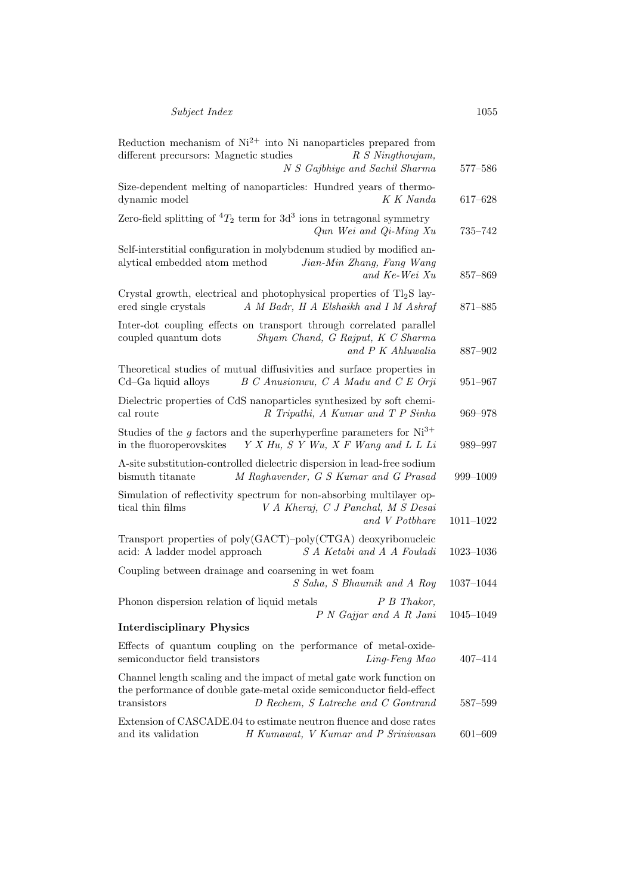| Reduction mechanism of $Ni^{2+}$ into Ni nanoparticles prepared from<br>different precursors: Magnetic studies<br>R S Ningthoujam,<br>N S Gajbhiye and Sachil Sharma                                | 577-586       |
|-----------------------------------------------------------------------------------------------------------------------------------------------------------------------------------------------------|---------------|
| Size-dependent melting of nanoparticles: Hundred years of thermo-<br>dynamic model<br>K K Nanda                                                                                                     | 617-628       |
| Zero-field splitting of ${}^4T_2$ term for $3d^3$ ions in tetragonal symmetry<br>$Qun$ Wei and $Qi$ -Ming Xu                                                                                        | 735-742       |
| Self-interstitial configuration in molybdenum studied by modified an-<br>alytical embedded atom method<br>Jian-Min Zhang, Fang Wang<br>and Ke-Wei Xu                                                | 857-869       |
| Crystal growth, electrical and photophysical properties of $Tl_2S$ lay-<br>A M Badr, H A Elshaikh and I M Ashraf<br>ered single crystals                                                            | 871-885       |
| Inter-dot coupling effects on transport through correlated parallel<br>Shyam Chand, G Rajput, K C Sharma<br>coupled quantum dots<br>and P K Ahluwalia                                               | 887-902       |
| Theoretical studies of mutual diffusivities and surface properties in<br>B C Anusionwu, C A Madu and C E Orji<br>Cd-Ga liquid alloys                                                                | 951-967       |
| Dielectric properties of CdS nanoparticles synthesized by soft chemi-<br>R Tripathi, A Kumar and T P Sinha<br>cal route                                                                             | 969-978       |
| Studies of the g factors and the superhyperfine parameters for $Ni^{3+}$<br>in the fluoroperovskites<br>Y X Hu, S Y Wu, X F Wang and L L Li                                                         | 989-997       |
| A-site substitution-controlled dielectric dispersion in lead-free sodium<br>M Raghavender, G S Kumar and G Prasad<br>bismuth titanate                                                               | 999-1009      |
| Simulation of reflectivity spectrum for non-absorbing multilayer op-<br>tical thin films<br>V A Kheraj, C J Panchal, M S Desai<br>and V Potbhare                                                    | $1011 - 1022$ |
| Transport properties of poly(GACT)-poly(CTGA) deoxyribonucleic<br>acid: A ladder model approach<br>S A Ketabi and A A Fouladi                                                                       | $1023 - 1036$ |
| Coupling between drainage and coarsening in wet foam<br>S Saha, S Bhaumik and A Roy                                                                                                                 | 1037-1044     |
| Phonon dispersion relation of liquid metals<br>P B Thakor,<br>P N Gajjar and A R Jani 1045-1049                                                                                                     |               |
| <b>Interdisciplinary Physics</b>                                                                                                                                                                    |               |
| Effects of quantum coupling on the performance of metal-oxide-<br>semiconductor field transistors<br>Ling-Feng Mao                                                                                  | $407 - 414$   |
| Channel length scaling and the impact of metal gate work function on<br>the performance of double gate-metal oxide semiconductor field-effect<br>transistors<br>D Rechem, S Latreche and C Gontrand | 587-599       |
| Extension of CASCADE.04 to estimate neutron fluence and dose rates<br>and its validation<br>H Kumawat, V Kumar and P Srinivasan                                                                     | $601 - 609$   |